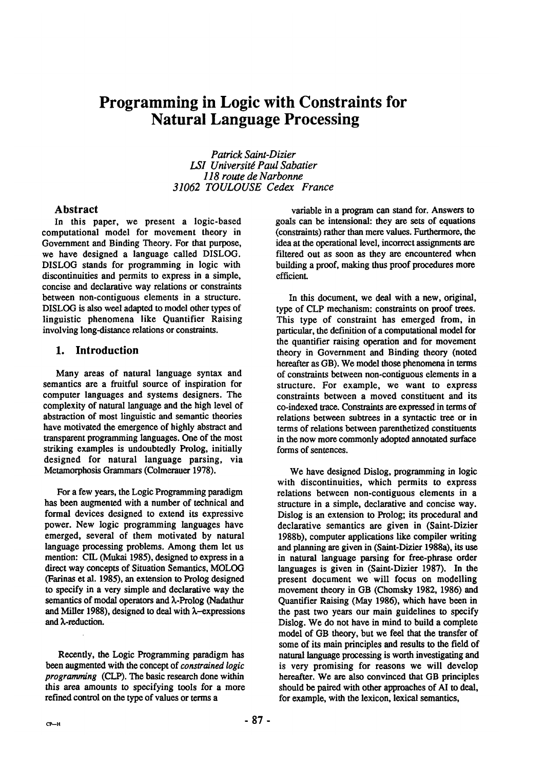# **Programming in Logic with Constraints for Natural Language Processing**

*Patrick Saint-Dizier*  **LSI** Université Paul Sabatier *118 route de Narbonne 31062 TOULOUSE Cedex France* 

## **Abstract**

In this paper, we present a logic-based computational model for movement theory in Government and Binding Theory. For that purpose, we have designed a language called DISLOG. DISLOG stands for programming in logic with discontinuities and permits to express in a simple, concise and declarative way relations or constraints between non-contiguous elements in a structure. DISLOG is also weel adapted to model other types of linguistic phenomena like Quantifier Raising involving long-distance relations or constraints.

# **1. Introduction**

Many areas of natural language syntax and semantics are a fruitful source of inspiration for computer languages and systems designers. The complexity of natural language and the high level of abstraction of most linguistic and semantic theories have motivated the emergence of highly abstract and transparent programming languages. One of the most striking examples is undoubtedly Prolog, initially designed for natural language parsing, via Metamorphosis Grammars (Colmerauer 1978).

For a few years, the Logic Programming paradigm has been augmented with a number of technical and formal devices designed to extend its expressive power. New logic programming languages have emerged, several of them motivated by natural language processing problems. Among them let us mention: CIL (Mukai 1985), designed to express in a direct way concepts of Situation Semantics, MOLOG (Farinas et al. 1985), an extension to Prolog designed to specify in a very simple and declarative way the semantics of modal operators and  $\lambda$ -Prolog (Nadathur and Miller 1988), designed to deal with  $\lambda$ -expressions and X-reduction.

Recently, the Logic Programming paradigm has been augmented with the concept of *constrained logic programming* (CLP). The basic research done within this area amounts to specifying tools for a more refined control on the type of values or terms a

variable in a program can stand for. Answers to goals can be intensional: they are sets of equations (constraints) rather than mere values. Furthermore, the idea at the operational level, incorrect assignments are filtered out as soon as they are encountered when building a proof, making thus proof procedures more efficient.

In this document, we deal with a new, original, type of CLP mechanism: constraints on proof trees. This type of constraint has emerged from, in particular, the definition of a computational model for the quantifier raising operation and for movement theory in Government and Binding theory (noted hereafter as GB). We model those phenomena in terms of constraints between non-contiguous elements in a structure. For example, we want to express constraints between a moved constituent and its co-indexed trace. Constraints are expressed in terms of relations between subtrees in a syntactic tree or in terms of relations between parenthetized constituents in the now more commonly adopted annotated surface forms of sentences.

We have designed Dislog, programming in logic with discontinuities, which permits to express relations between non-contiguous elements in a structure in a simple, declarative and concise way. Dislog is an extension to Prolog; its procedural and declarative semantics are given in (Saint-Dizier 1988b), computer applications like compiler writing and planning are given in (Saint-Dizier 1988a), its use in natural language parsing for free-phrase order languages is given in (Saint-Dizier 1987). In the present document we will focus on modelling movement theory in GB (Chomsky 1982, 1986) and Quantifier Raising (May 1986), which have been in the past two years our main guidelines to specify Dislog. We do not have in mind to build a complete model of GB theory, but we feel that the transfer of some of its main principles and results to the field of natural language processing is worth investigating and is very promising for reasons we will develop hereafter. We are also convinced that GB principles should be paired with other approaches of AI to deal, for example, with the lexicon, lexical semantics,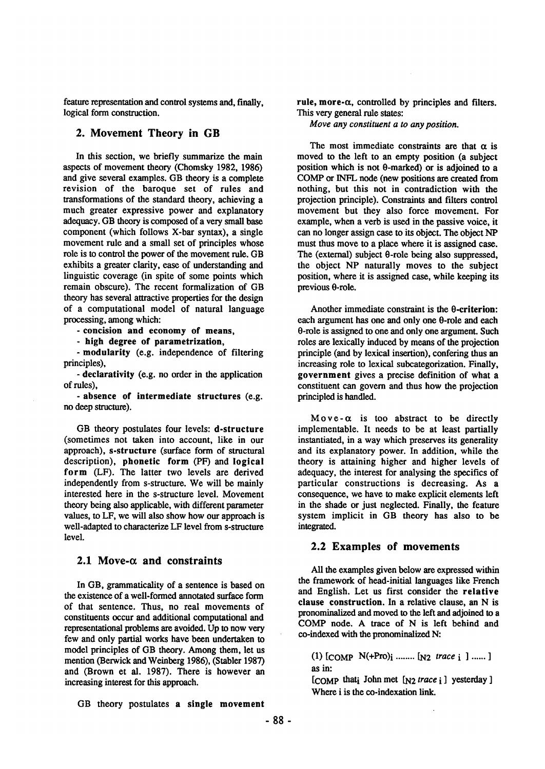feature representation and control systems and, finally, logical form construction.

## 2. Movement Theory **in** GB

In this section, we briefly summarize the main aspects of movement theory (Chomsky 1982, 1986) and give several examples. GB theory is a complete revision of the baroque set of rules and transformations of the standard theory, achieving a much greater expressive power and explanatory adequacy. GB theory is composed of a very small base component (which follows X-bar syntax), a single movement rule and a small set of principles whose role is to control the power of the movement rule. GB exhibits a greater clarity, ease of understanding and linguistic coverage (in spite of some points which remain obscure). The recent formalization of GB theory has several attractive properties for the design of a computational model of natural language processing, among which:

**-concision and economy of means,** 

**- high degree of parametrization,** 

**-modularity** (e.g. independence of filtering principles),

**- declarativity** (e.g. no order in the application of rules),

**-absence of intermediate structures (e.g.**  no deep structure).

GB theory postulates four levels: **d-structure**  (sometimes not taken into account, like in our approach), s-structure (surface form of structural description), **phonetic form** (PF) and **logical form** (LF). The latter two levels are derived independently from s-structure. We will be mainly interested here in the s-structure level. Movement theory being also applicable, with different parameter values, to LF, we will also show how our approach is well-adapted to characterize LF level from s-structure level.

## $2.1$  Move- $\alpha$  and constraints

In GB, grammaticality of a sentence is based on the existence of a well-formed annotated surface form of that sentence. Thus, no real movements of constituents occur and additional computational and representational problems are avoided. Up to now very few and only partial works have been undertaken to model principles of GB theory. Among them, let us mention (Berwick and Weinberg 1986), (Stabler 1987) and (Brown et al. 1987). There is however an increasing interest for this approach.

GB theory postulates a **single movement** 

**rule,** more-a, controlled by principles and filters. This very general rule states:

*Move any constituent a to any position.* 

The most immediate constraints are that  $\alpha$  is moved to the left to an empty position (a subject position which is not 0-marked) or is adjoined to a COMP or INFL node (new positions are created from nothing, but this not in contradiction with the projection principle). Constraints and filters control movement but they also force movement. For example, when a verb is used in the passive voice, it can no longer assign case to its object. The object NP must thus move to a place where it is assigned case. The (external) subject  $\theta$ -role being also suppressed, the object NP naturally moves to the subject position, where it is assigned case, while keeping its  $previously 0$ -role.

Another immediate constraint is the **0-criterion:**  each argument has one and only one  $\theta$ -role and each 0-role is assigned to one and only one argument. Such roles are lexically induced by means of the projection principle (and by lexical insertion), confering thus an increasing role to lexical subeategorization. Finally, **government** gives a precise definition of what a constituent can govern and thus how the projection principled is handled.

Move- $\alpha$  is too abstract to be directly implementable. It needs to be at least partially instantiated, in a way which preserves its generality and its explanatory power. In addition, while the theory is attaining higher and higher levels of adequacy, the interest for analysing the specifics of particular constructions is decreasing. As a consequence, we have to make explicit elements left in the shade or just neglected. Finally, the feature system implicit in GB theory has also to be integrated.

#### **2.2 Examples of movements**

All the examples given below are expressed within the framework of head-initial languages like French and English. Let us first consider the **relative clause construction.** In a relative clause, an N **is**  pronominalized and moved to the left and adjoined to a COMP node. A trace of N is left behind and co-indexed with the pronominalized N:

(1) [COMP N(+Pro)i ........ [N2 *trace i ] ...... ]*  as in:

[COMP that<sub>i</sub> John met [N<sub>2</sub> trace i] yesterday ] Where i is the co-indexation link.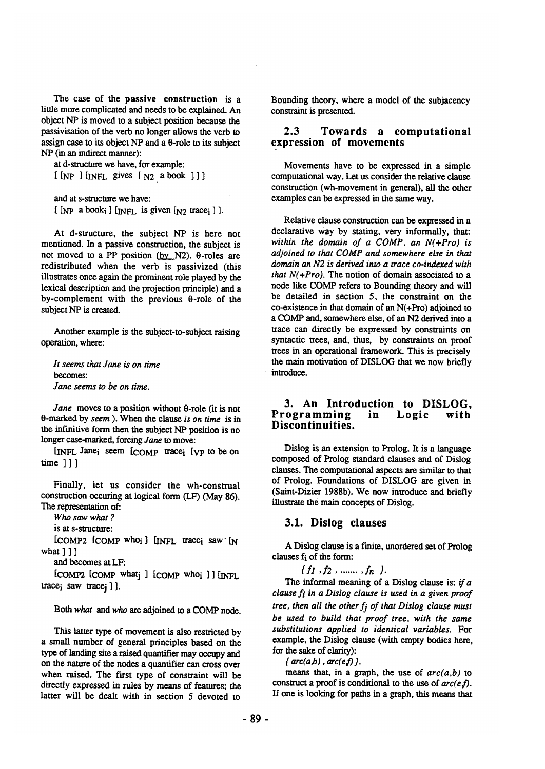The case of **the passive construction is a**  little more complicated and needs to be explained. An object NP is moved to a subject position because the passivisation of the verb no longer allows the verb to assign case to its object NP and a  $\theta$ -role to its subject NP (in an indirect manner):

at d-structure we have, for example:

 $[$  [NP  $]$  [INFL gives  $[N2 \text{ a book } ]]$ ]

and at s-structure we have:  $\left[ \begin{array}{cc} \text{[NP} \end{array} \right]$  a book<sub>i</sub>  $\left[ \begin{array}{cc} \text{[NFL} \end{array} \right]$  is given  $\left[ \begin{array}{cc} \text{[N2} \end{array} \right]$  trace<sub>i</sub>  $\left[ \begin{array}{c} \text{[N2]}\end{array} \right]$ 

At d-structure, the subject NP is here not mentioned. In a passive construction, the subject is not moved to a PP position (by N2).  $\theta$ -roles are redistributed when the verb is passivized (this illustrates once again the prominent role played by the lexical description and the projection principle) and a by-complement with the previous  $\theta$ -role of the subject NP is created.

Another example is the subject-to-subject raising operation, where:

*It seems that Jane is on time*  becomes: *Jane seems to be on time.* 

*Jane* moves to a position without  $\theta$ -role (it is not 0-marked by *seem ).* When the clause *is on time* is in the infinitive form then the subject NP position is no longer case-marked, forcing *Jane to* move:

[INFL Jane<sub>i</sub> seem [COMP trace<sub>i</sub> [vp to be on time 111

Finally, let us consider the wh-construal construction occuring at logical form (I.F) (May 86). The representation of:

*Who saw what ?* 

is at s-structure:

[COMP2 [COMP whoi ] [INFL tracej saw [N what 111

and becomes at IF:

[COMP2 [COMP whatj ] [COMP whoi ] ] [INFL tracei saw tracej ] ].

Both *what and who are* adjoined to a COMP node.

This latter type of movement is also restricted by a small number of general principles based on the type of landing site a raised quantifier may occupy and on the nature of the nodes a quantifier can cross over when raised. The first type of constraint will be directly expressed in rules by means of features; the latter will be dealt with in section 5 devoted to

Bounding theory, where a model of the subjacency constraint is presented.

## **2.3 Towards a computational expression of movements**

Movements have to be expressed in a simple computational way. Let us consider the relative clause construction (wh-movement in general), all the other examples can be expressed in the same way.

Relative clause construction can be expressed in a declarative Way by stating, very informally, that: *within the domain of a COMP, an N(+Pro) is adjoined to that COMP and somewhere else in that domain an N2 is derived into a trace co-indexed with that*  $N(+Pro)$ *. The notion of domain associated to a* node like COMP refers to Bounding theory and will be detailed in section 5, the constraint on the co-existence in that domain of an N(+Pro) adjoined to a COMP and, somewhere else, of an N2 derived into a trace can directly be expressed by constraints on syntactic trees, and, thus, by constraints on proof trees in an operational framework. This is precisely the main motivation of DISLOG that we now briefly introduce.

#### **3. An Introduction to DISLOG, Programming in Logic with Discontinuities.**

Dislog is an extension to Prolog. It is a language composed of Prolog standard clauses and of Dislog clauses. The computational aspects are similar to that of Prolog. Foundations of DISLOG are given in (Saint-Dizier 1988b). We now introduce and briefly illustrate the main concepts of Dislog.

#### **3.1. Disiog clauses**

A Dislog clause is a finite, unordered set of Prolog clauses fi of the form:

*{fl ,f2 ......... fn }.* 

The informal meaning of a Dislog clause is: *ira clause fi in a Dislog clause is used in a given proof*  tree, then all the other  $f_i$  of that Dislog clause must *be used to build that proof tree, with the same substitutions applied to identical variables.* For example, the Dislog clause (with empty bodies here, for the sake of clarity):

 $\{arc(ab), arc(ef)\}.$ 

means that, in a graph, the use of *arc(a,b) to*  construct a proof is conditional to the use of  $arc(e, f)$ . If one is looking for paths in a graph, this means that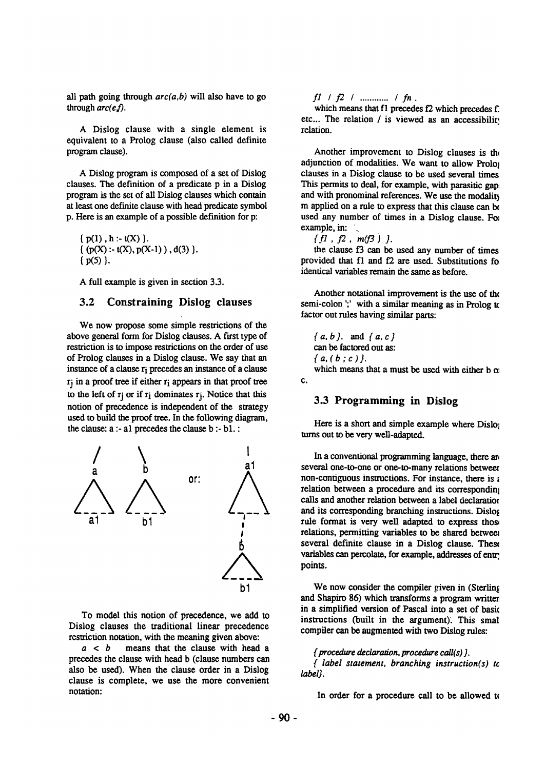all path going through *arc(a,b)* will also have to go through *arc(ef)*.

A Dislog clause with a single element is equivalent to a Prolog clause (also called definite program clause).

A Dislog program is composed of a set of Dislog clauses. The definition of a predicate p in a Dislog program is the set of all Dislog clauses which contain at least one definite clause with head predicate symbol p. Here is an example of a possible definition for p:

 ${ p(1), h : t(X) }.$  $\{ (p(X) : t(X), p(X-1)) , d(3) \}.$ **{ p(5) }.** 

A full example is given in section 3.3.

## **3.2 Constraining Disiog clauses**

We now propose some simple restrictions of the above general form for Dislog clauses. A first type of restriction is to impose restrictions on the order of use of Prolog clauses in a Dislog clause. We say that an instance of a clause ri precedes an instance of a clause  $r_i$  in a proof tree if either  $r_i$  appears in that proof tree to the left of  $r_i$  or if  $r_i$  dominates  $r_i$ . Notice that this notion of precedence is independent of the strategy used to build the proof tree. In the following diagram, the clause: a :- al precedes the clause b :- bl. :



To model this notion of precedence, we add to Dislog clauses the traditional linear precedence restriction notation, with the meaning given above:

 $a < b$  means that the clause with head a precedes the clause with head b (clause numbers can also be used). When the clause order in a Dislog clause is complete, we use the more convenient notation:

*fl /12 / ............ / fn.* 

which means that  $f_1$  precedes  $f_2$  which precedes  $f_3$ etc... The relation  $\ell$  is viewed as an accessibility relation.

Another improvement to Dislog clauses is the adjunction of modalities. We want to allow Prolog clauses in a Dislog clause to be used several times. This permits to deal, for example, with parasitic gaps and with pronominal references. We use the modality m applied on a rule to express that this clause can be used any number of times in a Dislog clause. For example, in:

 ${f1, f2, m(f3)}$ .

the clause f3 can be used any number of times, provided that fl and f2 are used. Substitutions for identical variables remain the same as before.

Another notational improvement is the use of the semi-colon ';' with a similar meaning as in Prolog to factor out rules having similar parts:

C. *{a,b}. and {a,c}*  can be factored out as: *{a,(b;c)}.*  which means that a must be used with either h or

#### **3.3 Programming in Dislog**

Here is a short and simple example where Dislog turns out to be very well-adapted.

In a conventional programming language, there are several one-to-one or one-to-many relations between non-contiguous instructions. For instance, there is  $\epsilon$ relation between a procedure and its corresponding calls and another relation between a label declaration and its corresponding branching instructions. Dislog rule format is very well adapted to express those relations, permitting variables to be shared between several definite clause in a Dislog clause. These variables can percolate, for example, addresses of entry points.

We now consider the compiler given in (Sterling and Shapiro 86) which transforms a program written in a simplified version of Pascal into a set of basic instructions (built in the argument). This small compiler can be augmented with two Dislog rules:

*{procedure declaration, procedure call(s) }.* 

*{ label statement, branching instruction(s) to label}.* 

In order for a procedure call to be allowed to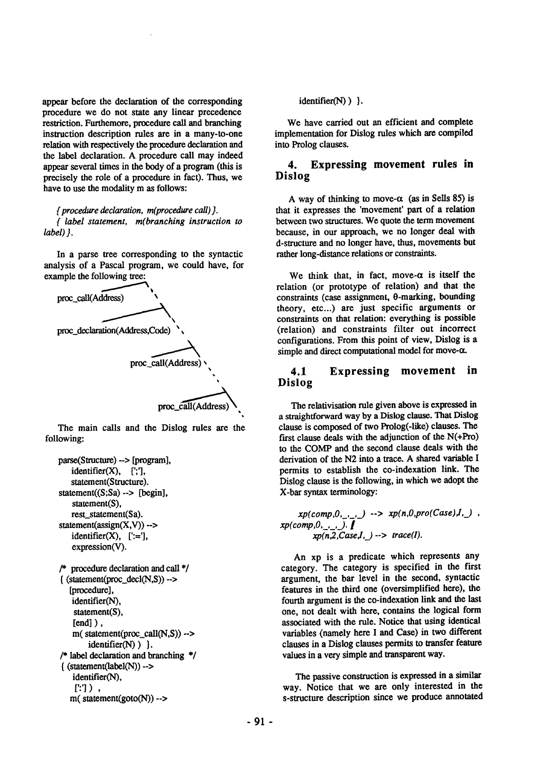appear before the declaration of the corresponding procedure we do not state any linear precedence restriction. Furthemore, procedure call and branching instruction description rules are in a many-to-one relation with respectively the procedure declaration and the label declaration. A procedure call may indeed appear several times in the body of a program (this is precisely the role of a procedure in fact). Thus, we have to use the modality m as follows:

*{procedure declaration, re(procedure call) }. { label statement, re(branching instruction to label)}.* 

In a parse tree corresponding to the syntactic analysis of a Pascal program, we could have, for example the following tree:



The main calls and the Dislog rules are the following:

```
parse(Structure) --> [program], 
   identifier(X), [\cdot;\cdot],
   statement(Structure). 
statement((S;Sa) \rightarrow [begin]statement(S), 
   rest_statement(Sa). 
statement(assign(X,V)) --> 
   identifier(X), \Gamma = \mathbb{I},
   expression(V). 
/* procedure declaration and call */ 
\{ (statement(proc\_decl(N,S)) -->[procedure].
   identifier(N), 
    statement(S), 
    [end]),
    m(statement(proc_call(N,S)) --> 
        identifier(N)) }.
/* label declaration and branching */ 
\{ (statement(label(N)) -->
    identifier(N), 
    [':'] ) , 
   m(statement(goto(N)) -->
```
identifier $(N)$ ) }.

We have carried out an efficient and complete implementation for Dislog rules which are compiled into Prolog clauses.

## **4. Expressing movement rules in Dislog**

A way of thinking to move- $\alpha$  (as in Sells 85) is that it expresses the 'movement' part of a relation between two structures. We quote the term movement because, in our approach, we no longer deal with d-structure and no longer have, thus, movements but rather long-distance relations or constraints.

We think that, in fact, move- $\alpha$  is itself the relation (or prototype of relation) and that the constraints (case assignment, 0-marking, bounding theory, etc...) are just specific arguments or constraints on that relation: everything is possible (relation) and constraints filter out incorrect configurations. From this point of view, Dislog is a simple and direct computational model for move- $\alpha$ .

## **4.1 Expressing movement in Dislog**

The relativisation rule given above is expressed in a straightforward way by a Dislog clause. That Dislog clause is composed of two Prolog(-like) clauses. The first clause deals with the adjunction of the N(+Pro) to the COMP and the second clause deals with the derivation of the N2 into a trace. A shared variable I permits to establish the co-indexation link. The Dislog clause is the following, in which we adopt the X-bar syntax terminology:

*xp(comp,O,\_,\_, ) --> xp(n,O,pro(Case)J,\_) , xp(comp,O,\_,\_, ). I xp(n2,CaseJ,\_) -- > trace(l).* 

An xp is a predicate which represents any category. The category is specified in the first argument, the bar level in the second, syntactic features in the third one (oversimplified here), the fourth argument is the co-indexation link and the last one, not dealt with here, contains the logical form associated with the rule. Notice that using identical variables (namely here I and Case) in two different clauses in a Dislog clauses permits to transfer feature values in a very simple and transparent way.

The passive construction is expressed in a similar way. Notice that we are only interested in the s-structure description since we produce annotated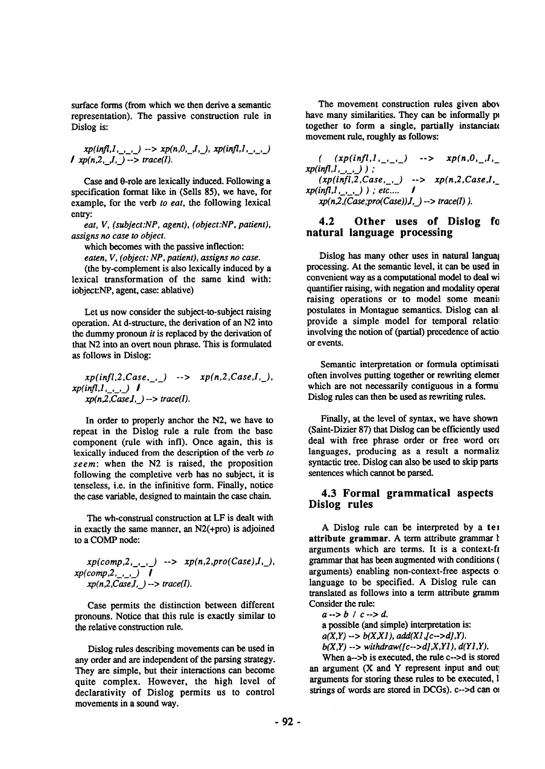surface forms (from which we then derive a semantic representation). The passive construction rule in Dislog is:

$$
xp(infl,1,..., ) \rightarrow xp(n,0,.1,.), xp(infl,1,..., )
$$
  
**/** 
$$
xp(n,2,.1, ) \rightarrow trace(I).
$$

Case and  $\theta$ -role are lexically induced. Following a specification format like in (Sells 85), we have, for example, for the verb *to eat, the* following lexical entry:

*eat, V, (subject:NP, agent), (object:NP, patient), assigns no case to object.* 

which becomes with the passive inflection:

*eaten, V, (object: NP, patient), assigns no case.* 

(the by-complement is also lexically induced by a lexical transformation of the same kind **with:**  iobject:NP, agent, case: ablative)

Let us now consider the subject-to-subject raising operation. At d-structure, the derivation of an N2 into the dummy pronoun *it* is replaced by the derivation of that N2 into an overt noun phrase. This is formulated as follows in Dislog:

$$
xp(infl,2,Case,...) \longrightarrow xp(n,2,Case,1,...),\nxp(infl,1,...,)
$$

$$
f
$$

$$
xp(n,2,Case,1,...) \longrightarrow trace(I).
$$

In order to properly anchor the N2, we have to repeat in the Dislog rule a rule from the base component (rule with infl). Once again, this is lexically induced from the description of the verb *to seem:* when the N2 is raised, the proposition following the completive verb has no subject, it is tenseless, i.e. in the infinitive form. Finally, notice the case variable, designed to maintain the case chain.

The wh-construal construction at LF is dealt with in exactly the same manner, an N2(+pro) is adjoined to a COMP node:

*xp(comp,2,\_,\_,\_) --> xp(n,2,pro(Case),l,\_), xp(comp,2,\_ .... ) I*   $xp(n, 2, \overline{Case I}, ...) \rightarrow trace(I).$ 

Case permits the distinction between different pronouns. Notice that this rule is exactly similar to the relative construction rule.

Dislog rules describing movements can be used in any order and are independent of the parsing strategy. They are simple, but their interactions can become quite complex. However, the high level of declarativity of Dislog permits us to control movements in a sound way.

The movement construction rules given abov have many similarities. They can be informally pu together to form a single, partially instanciate movement rule, roughly as follows:

 $($  (*xp(infl,1,<sub>-'-'</sub>)* -->  $xp(n,0,-,1,-)$ *xp(infl,1 .... ,\_) ) ; (xp(infl,2,Case .... ) --> xp(n,2,Case,l,\_), xp(infl,1,\_,\_,\_) ) ; etc .... /*   $xp(n,2,(Case;pro(Case)), I, ) \rightarrow trace(I)$  ).

#### 4.2 Other uses of Dislog fo **natural language processing**

Dislog has many other uses in natural language processing. At the semantic level, it can be used in convenient way as a computational model to deal wi quantifier raising, with negation and modality operat raising operations or to model some meaning postulates in Montague semantics. Dislog can also provide a simple model for temporal relations involving the notion of (partial) precedence of actions or events.

Semantic interpretation or formula optimisation often involves putting together or rewriting elemen which are not necessarily contiguous in a formul Dislog rules can then be used as rewriting rules.

Finally, at the level of syntax, we have shown (Saint-Dizier 87) that Dislog can be efficiently used deal with free phrase order or free word ord languages, producing as a result a normalized syntactic tree. Dislog can also be used to skip parts sentences which cannot be parsed.

#### **4.3 Formal grammatical aspects Dislog rules**

A Dislog rule can be interpreted by a ter attribute grammar. A term attribute grammar **h** arguments which are terms. It is a context-fr grammar that has been augmented with conditions ( arguments) enabling non-context-free aspects of language to be specified. A Dislog rule can translated as follows into a term attribute gramm Consider the rule:

*a-->b / c-->d.* 

a possible (and simple) interpretation is:  $a(X,Y) \rightarrow b(X,XI)$ ,  $add(XI, [c->d],Y)$ . *b(X,Y) --> withdraw([c-->d1,X,Y1), d(Y1,Y).* 

When  $a\rightarrow b$  is executed, the rule  $c\rightarrow d$  is stored an argument  $(X \text{ and } Y \text{ represent input and out})$ arguments for storing these rules to be executed,  $l$ strings of words are stored in DCGs). c-->d can on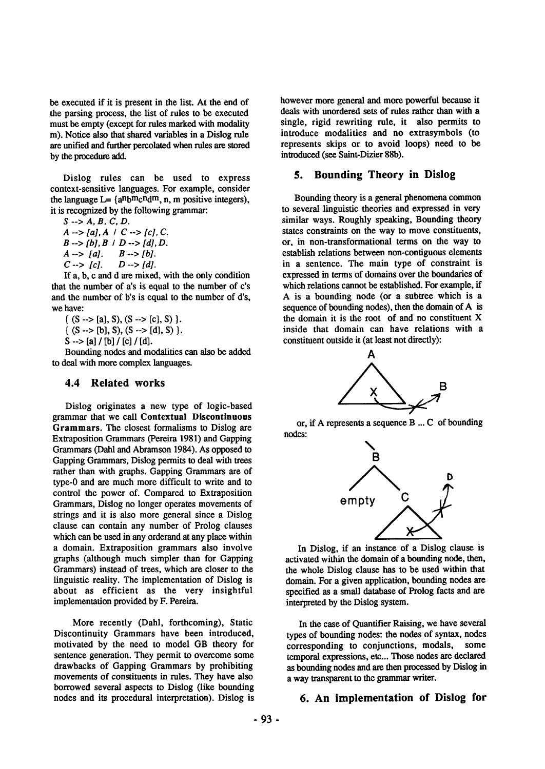be executed if it is present in the list. At the end of the parsing process, the list of rules to be executed must be empty (except for rules marked with modality m). Notice also that shared variables in a Dislog rule are unified and further percolated when rules are stored by the procedure add.

Dislog rules can be used to express context-sensitive languages. For example, consider the language  $L = \{a^n b^m c^n d^m, n, m \}$  positive integers), it is recognized by the following grammar:

*S--> A,B, C,D. A--> [a],A / C--> [c],C. B--> [b],B I D--> [d],D. A --> [a]. B --> [b]. C--> lc]. D --> [dl.* 

If a, b, c and d are mixed, with the only condition that the number of  $a$ 's is equal to the number of  $c$ 's and the number of b's is equal to the number of d's, we have:

 $\{ (S \rightarrow > [a], S), (S \rightarrow > [c], S) \}.$  $\{ (S \rightarrow > [b], S), (S \rightarrow > [d], S) \}.$ 

 $S \rightarrow [a] / [b] / [c] / [d].$ 

Bounding nodes and modalities can also be added to deal with more complex languages.

#### **4.4 Related works**

Dislog originates a new type of logic-based grammar that we call **Contextual Discontinuous**  Grammars. The closest formalisms to Dislog are Extraposition Grammars (Pereira 1981) and Gapping Grammars (Dahl and Abramson 1984). As opposed to Gapping Grammars, Dislog permits to deal with trees rather than with graphs. Gapping Grammars are of type-0 and are much more difficult to write and to control the power of. Compared to Extraposition Grammars, Dislog no longer operates movements of strings and it is also more general since a Dislog clause can contain any number of Prolog clauses which can be used in any orderand at any place within a domain. Extraposition grammars also involve graphs (although much simpler than for Gapping Grammars) instead of trees, which are closer to the linguistic reality. The implementation of Dislog is about as efficient as the very insightful implementation provided by F. Pereira.

More recently (Dahl, forthcoming), Static Discontinuity Grammars have been introduced, motivated by the need to model GB theory for sentence generation. They permit to overcome some drawbacks of Gapping Grammars by prohibiting movements of constituents in rules. They have also borrowed several aspects to Dislog (like bounding nodes and its procedural interpretation). Dislog is however more general and more powerful because it deals with unordered sets of rules rather than with a single, rigid rewriting rule, it also permits to introduce modalities and no extrasymbols (to represents skips or to avoid loops) need to be introduced (see Saint-Dizier 88b).

## **5. Bounding Theory in Dislog**

Bounding theory is a general phenomena common to several linguistic theories and expressed in very similar ways. Roughly speaking, Bounding theory states constraints on the way to move constituents, or, in non-transformational terms on the way to establish relations between non-contiguous elements in a sentence. The main type of constraint is expressed in terms of domains over the boundaries of which relations cannot be established. For example, if A is a bounding node (or a subtree which is a sequence of bounding nodes), then the domain of A is the domain it is the root of and no constituent X inside that domain can have relations with a constituent outside it (at least not directly):



or, if A represents a sequence B ... C of bounding nodes:



In Dislog, if an instance of a Dislog clause is activated within the domain of a bounding node, then, the whole Dislog clause has to be used within that domain. For a given application, bounding nodes are specified as a small database of Prolog facts and are interpreted by the Dislog system.

In the case of Quantifier Raising, we have several types of bounding nodes: the nodes of syntax, nodes corresponding to conjunctions, modals, some temporal expressions, etc... Those nodes are declared as bounding nodes and are then processed by Dislog in a way transparent to the grammar writer.

## **6. An implementation of Dislog for**